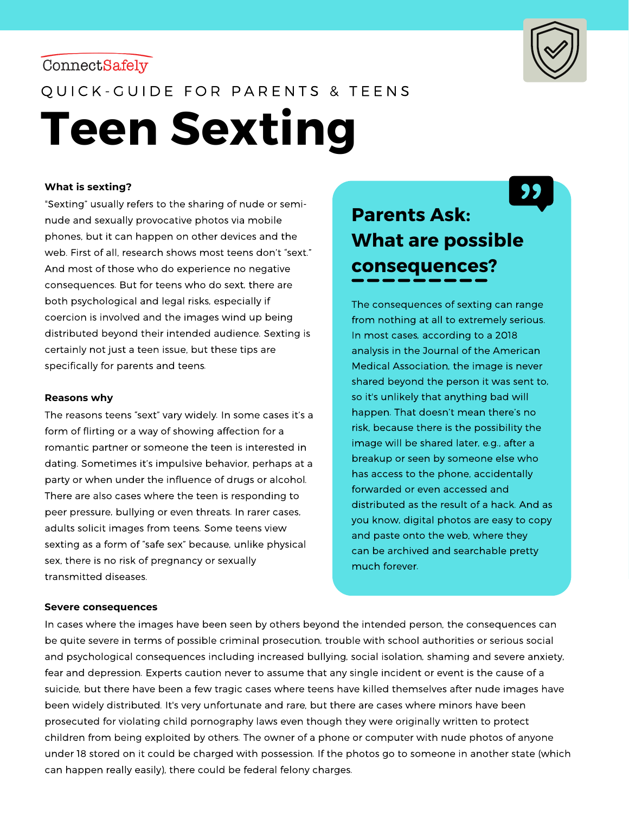### ConnectSafely



QUICK-GUIDE FOR PARENTS & TEENS **Teen Sexting**

#### **What is sexting?**

"Sexting" usually refers to the sharing of nude or seminude and sexually provocative photos via mobile phones, but it can happen on other devices and the web. First of all, research shows most teens don't "sext." And most of those who do experience no negative consequences. But for teens who do sext, there are both psychological and legal risks, especially if coercion is involved and the images wind up being distributed beyond their intended audience. Sexting is certainly not just a teen issue, but these tips are specifically for parents and teens.

#### **Reasons why**

The reasons teens "sext" vary widely. In some cases it's a form of flirting or a way of showing affection for a romantic partner or someone the teen is interested in dating. Sometimes it's impulsive behavior, perhaps at a party or when under the influence of drugs or alcohol. There are also cases where the teen is responding to peer pressure, bullying or even threats. In rarer cases, adults solicit images from teens. Some teens view sexting as a form of "safe sex" because, unlike physical sex, there is no risk of pregnancy or sexually transmitted diseases.

# **Parents Ask: What are possible consequences?**

The consequences of sexting can range from nothing at all to extremely serious. In most cases, according to a 2018 analysis in the Journal of the American Medical Association, the image is never shared beyond the person it was sent to, so it's unlikely that anything bad will happen. That doesn't mean there's no risk, because there is the possibility the image will be shared later, e.g., after a breakup or seen by someone else who has access to the phone, accidentally forwarded or even accessed and distributed as the result of a hack. And as you know, digital photos are easy to copy and paste onto the web, where they can be archived and searchable pretty much forever.

#### **Severe consequences**

In cases where the images have been seen by others beyond the intended person, the consequences can be quite severe in terms of possible criminal prosecution, trouble with school authorities or serious social and psychological consequences including increased bullying, social isolation, shaming and severe anxiety, fear and depression. Experts caution never to assume that any single incident or event is the cause of a suicide, but there have been a few tragic cases where teens have killed themselves after nude images have been widely distributed. It's very unfortunate and rare, but there are cases where minors have been prosecuted for violating child pornography laws even though they were originally written to protect children from being exploited by others. The owner of a phone or computer with nude photos of anyone under 18 stored on it could be charged with possession. If the photos go to someone in another state (which can happen really easily), there could be federal felony charges.